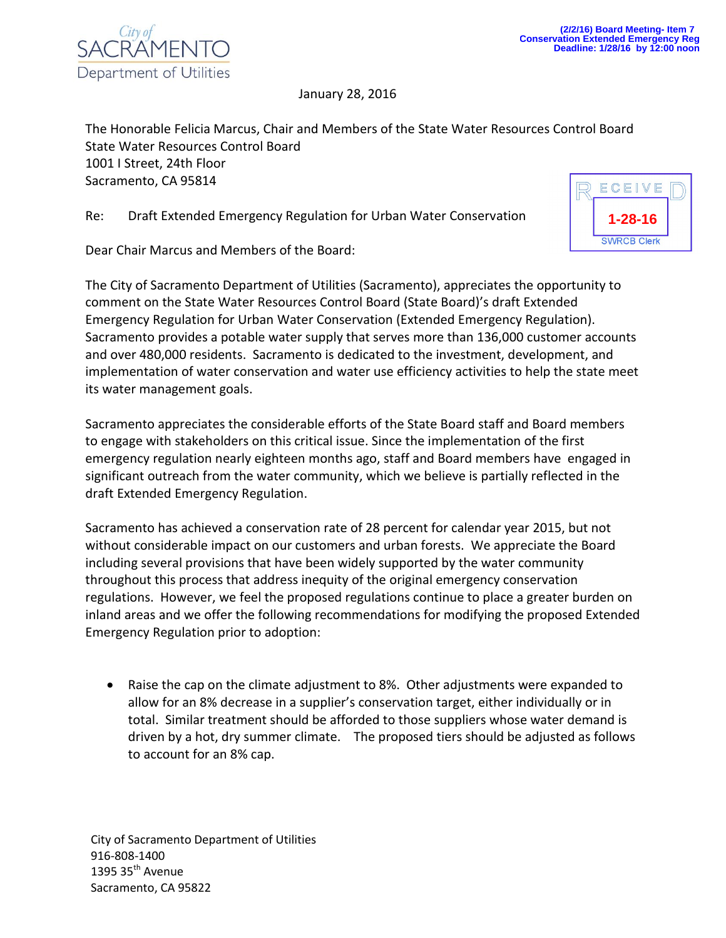

January 28, 2016

The Honorable Felicia Marcus, Chair and Members of the State Water Resources Control Board State Water Resources Control Board 1001 I Street, 24th Floor Sacramento, CA 95814

Re: Draft Extended Emergency Regulation for Urban Water Conservation

Dear Chair Marcus and Members of the Board:

The City of Sacramento Department of Utilities (Sacramento), appreciates the opportunity to comment on the State Water Resources Control Board (State Board)'s draft Extended Emergency Regulation for Urban Water Conservation (Extended Emergency Regulation). Sacramento provides a potable water supply that serves more than 136,000 customer accounts and over 480,000 residents. Sacramento is dedicated to the investment, development, and implementation of water conservation and water use efficiency activities to help the state meet its water management goals.

Sacramento appreciates the considerable efforts of the State Board staff and Board members to engage with stakeholders on this critical issue. Since the implementation of the first emergency regulation nearly eighteen months ago, staff and Board members have engaged in significant outreach from the water community, which we believe is partially reflected in the draft Extended Emergency Regulation.

Sacramento has achieved a conservation rate of 28 percent for calendar year 2015, but not without considerable impact on our customers and urban forests. We appreciate the Board including several provisions that have been widely supported by the water community throughout this process that address inequity of the original emergency conservation regulations. However, we feel the proposed regulations continue to place a greater burden on inland areas and we offer the following recommendations for modifying the proposed Extended Emergency Regulation prior to adoption:

 Raise the cap on the climate adjustment to 8%. Other adjustments were expanded to allow for an 8% decrease in a supplier's conservation target, either individually or in total. Similar treatment should be afforded to those suppliers whose water demand is driven by a hot, dry summer climate. The proposed tiers should be adjusted as follows to account for an 8% cap.

City of Sacramento Department of Utilities 916-808-1400 1395 35<sup>th</sup> Avenue Sacramento, CA 95822